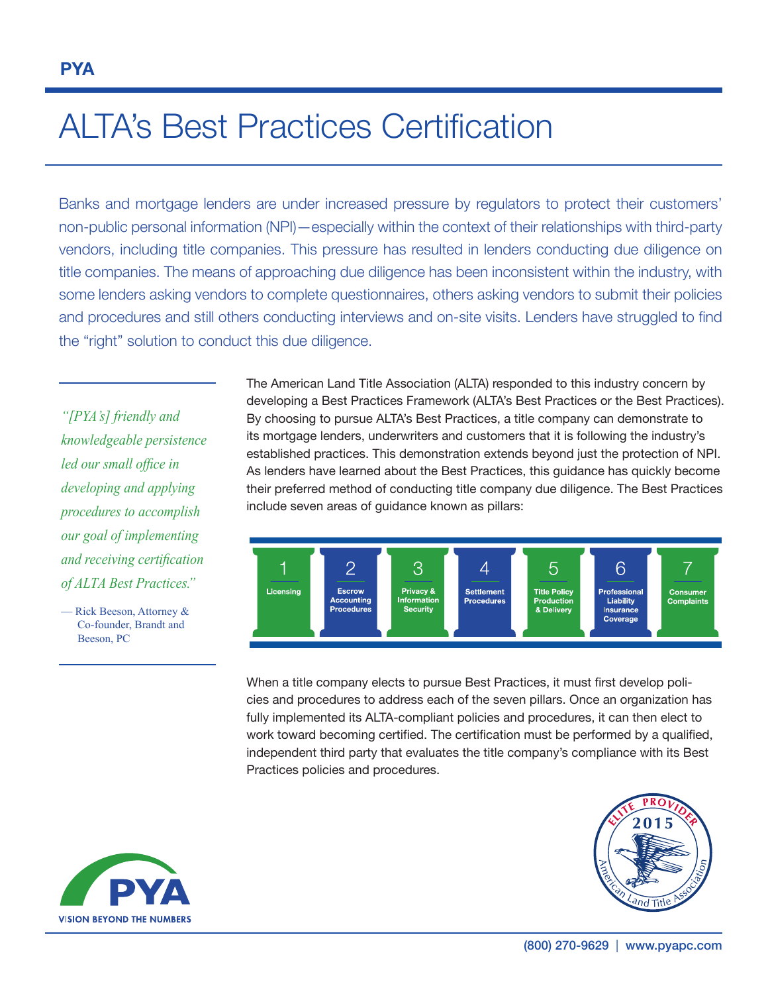# ALTA's Best Practices Certification

Banks and mortgage lenders are under increased pressure by regulators to protect their customers' non-public personal information (NPI)—especially within the context of their relationships with third-party vendors, including title companies. This pressure has resulted in lenders conducting due diligence on title companies. The means of approaching due diligence has been inconsistent within the industry, with some lenders asking vendors to complete questionnaires, others asking vendors to submit their policies and procedures and still others conducting interviews and on-site visits. Lenders have struggled to find the "right" solution to conduct this due diligence.

*"[PYA's] friendly and knowledgeable persistence led our small office in developing and applying procedures to accomplish our goal of implementing and receiving certification of ALTA Best Practices."* 

— Rick Beeson, Attorney & Co-founder, Brandt and Beeson, PC

The American Land Title Association (ALTA) responded to this industry concern by developing a Best Practices Framework (ALTA's Best Practices or the Best Practices). By choosing to pursue ALTA's Best Practices, a title company can demonstrate to its mortgage lenders, underwriters and customers that it is following the industry's established practices. This demonstration extends beyond just the protection of NPI. As lenders have learned about the Best Practices, this guidance has quickly become their preferred method of conducting title company due diligence. The Best Practices include seven areas of guidance known as pillars:



When a title company elects to pursue Best Practices, it must first develop policies and procedures to address each of the seven pillars. Once an organization has fully implemented its ALTA-compliant policies and procedures, it can then elect to work toward becoming certified. The certification must be performed by a qualified, independent third party that evaluates the title company's compliance with its Best Practices policies and procedures.